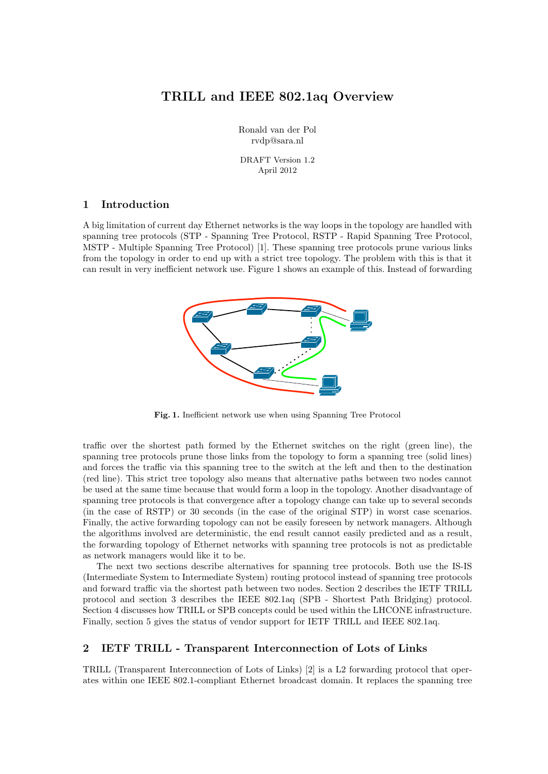# TRILL and IEEE 802.1aq Overview

Ronald van der Pol rvdp@sara.nl

DRAFT Version 1.2 April 2012

### 1 Introduction

A big limitation of current day Ethernet networks is the way loops in the topology are handled with spanning tree protocols (STP - Spanning Tree Protocol, RSTP - Rapid Spanning Tree Protocol, MSTP - Multiple Spanning Tree Protocol) [1]. These spanning tree protocols prune various links from the topology in order to end up with a strict tree topology. The problem with this is that it can result in very inefficient network use. Figure 1 shows an example of this. Instead of forwarding



Fig. 1. Inefficient network use when using Spanning Tree Protocol

traffic over the shortest path formed by the Ethernet switches on the right (green line), the spanning tree protocols prune those links from the topology to form a spanning tree (solid lines) and forces the traffic via this spanning tree to the switch at the left and then to the destination (red line). This strict tree topology also means that alternative paths between two nodes cannot be used at the same time because that would form a loop in the topology. Another disadvantage of spanning tree protocols is that convergence after a topology change can take up to several seconds (in the case of RSTP) or 30 seconds (in the case of the original STP) in worst case scenarios. Finally, the active forwarding topology can not be easily foreseen by network managers. Although the algorithms involved are deterministic, the end result cannot easily predicted and as a result, the forwarding topology of Ethernet networks with spanning tree protocols is not as predictable as network managers would like it to be.

The next two sections describe alternatives for spanning tree protocols. Both use the IS-IS (Intermediate System to Intermediate System) routing protocol instead of spanning tree protocols and forward traffic via the shortest path between two nodes. Section 2 describes the IETF TRILL protocol and section 3 describes the IEEE 802.1aq (SPB - Shortest Path Bridging) protocol. Section 4 discusses how TRILL or SPB concepts could be used within the LHCONE infrastructure. Finally, section 5 gives the status of vendor support for IETF TRILL and IEEE 802.1aq.

### 2 IETF TRILL - Transparent Interconnection of Lots of Links

TRILL (Transparent Interconnection of Lots of Links) [2] is a L2 forwarding protocol that operates within one IEEE 802.1-compliant Ethernet broadcast domain. It replaces the spanning tree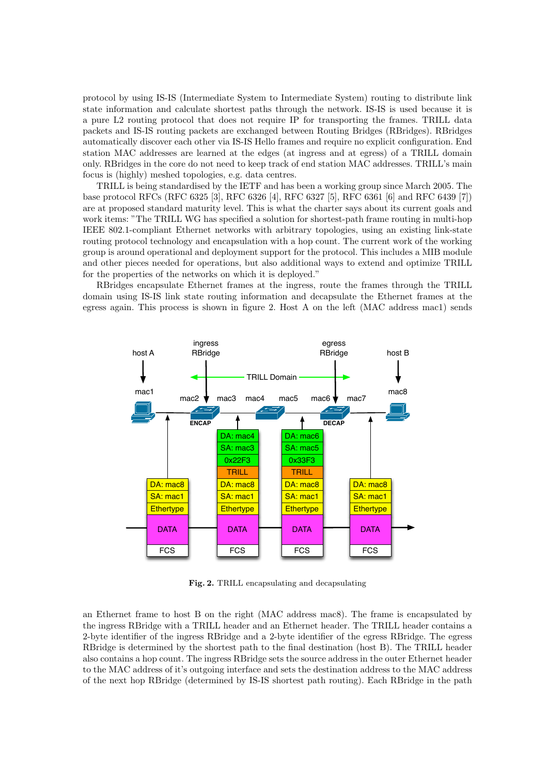protocol by using IS-IS (Intermediate System to Intermediate System) routing to distribute link state information and calculate shortest paths through the network. IS-IS is used because it is a pure L2 routing protocol that does not require IP for transporting the frames. TRILL data packets and IS-IS routing packets are exchanged between Routing Bridges (RBridges). RBridges automatically discover each other via IS-IS Hello frames and require no explicit configuration. End station MAC addresses are learned at the edges (at ingress and at egress) of a TRILL domain only. RBridges in the core do not need to keep track of end station MAC addresses. TRILL's main focus is (highly) meshed topologies, e.g. data centres.

TRILL is being standardised by the IETF and has been a working group since March 2005. The base protocol RFCs (RFC 6325 [3], RFC 6326 [4], RFC 6327 [5], RFC 6361 [6] and RFC 6439 [7]) are at proposed standard maturity level. This is what the charter says about its current goals and work items: "The TRILL WG has specified a solution for shortest-path frame routing in multi-hop IEEE 802.1-compliant Ethernet networks with arbitrary topologies, using an existing link-state routing protocol technology and encapsulation with a hop count. The current work of the working group is around operational and deployment support for the protocol. This includes a MIB module and other pieces needed for operations, but also additional ways to extend and optimize TRILL for the properties of the networks on which it is deployed."

RBridges encapsulate Ethernet frames at the ingress, route the frames through the TRILL domain using IS-IS link state routing information and decapsulate the Ethernet frames at the egress again. This process is shown in figure 2. Host A on the left (MAC address mac1) sends



Fig. 2. TRILL encapsulating and decapsulating

an Ethernet frame to host B on the right (MAC address mac8). The frame is encapsulated by the ingress RBridge with a TRILL header and an Ethernet header. The TRILL header contains a 2-byte identifier of the ingress RBridge and a 2-byte identifier of the egress RBridge. The egress RBridge is determined by the shortest path to the final destination (host B). The TRILL header also contains a hop count. The ingress RBridge sets the source address in the outer Ethernet header to the MAC address of it's outgoing interface and sets the destination address to the MAC address of the next hop RBridge (determined by IS-IS shortest path routing). Each RBridge in the path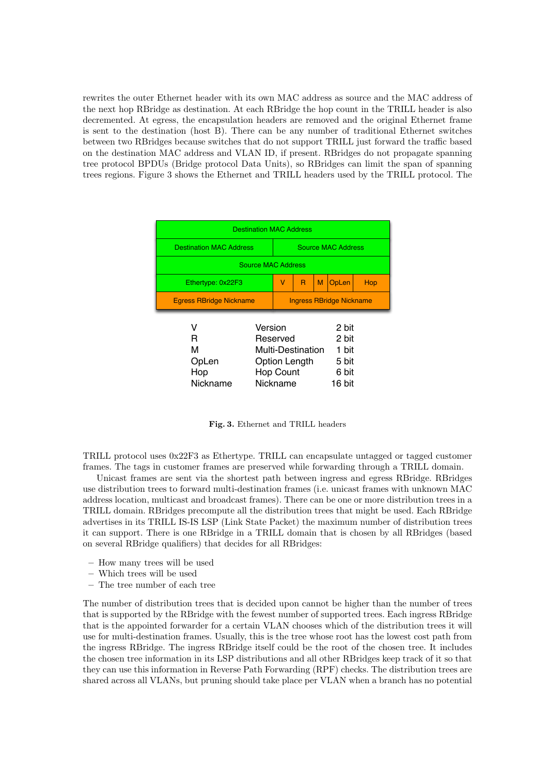rewrites the outer Ethernet header with its own MAC address as source and the MAC address of the next hop RBridge as destination. At each RBridge the hop count in the TRILL header is also decremented. At egress, the encapsulation headers are removed and the original Ethernet frame is sent to the destination (host B). There can be any number of traditional Ethernet switches between two RBridges because switches that do not support TRILL just forward the traffic based on the destination MAC address and VLAN ID, if present. RBridges do not propagate spanning tree protocol BPDUs (Bridge protocol Data Units), so RBridges can limit the span of spanning trees regions. Figure 3 shows the Ethernet and TRILL headers used by the TRILL protocol. The

| <b>Destination MAC Address</b> |                  |                                 |                   |   |       |     |  |
|--------------------------------|------------------|---------------------------------|-------------------|---|-------|-----|--|
| <b>Destination MAC Address</b> |                  | Source MAC Address              |                   |   |       |     |  |
| <b>Source MAC Address</b>      |                  |                                 |                   |   |       |     |  |
| Ethertype: 0x22F3              |                  | V                               | R                 | M | OpLen | Hop |  |
| <b>Egress RBridge Nickname</b> |                  | <b>Ingress RBridge Nickname</b> |                   |   |       |     |  |
| v                              | Version<br>2 bit |                                 |                   |   |       |     |  |
| R                              | Reserved         |                                 |                   |   | 2 bit |     |  |
|                                |                  |                                 |                   |   |       |     |  |
| м                              |                  |                                 | Multi-Destination |   | 1 bit |     |  |
| OpLen                          |                  |                                 | Option Length     |   | 5 bit |     |  |
| Hop                            |                  | <b>Hop Count</b>                |                   |   | 6 bit |     |  |

Fig. 3. Ethernet and TRILL headers

TRILL protocol uses 0x22F3 as Ethertype. TRILL can encapsulate untagged or tagged customer frames. The tags in customer frames are preserved while forwarding through a TRILL domain.

Unicast frames are sent via the shortest path between ingress and egress RBridge. RBridges use distribution trees to forward multi-destination frames (i.e. unicast frames with unknown MAC address location, multicast and broadcast frames). There can be one or more distribution trees in a TRILL domain. RBridges precompute all the distribution trees that might be used. Each RBridge advertises in its TRILL IS-IS LSP (Link State Packet) the maximum number of distribution trees it can support. There is one RBridge in a TRILL domain that is chosen by all RBridges (based on several RBridge qualifiers) that decides for all RBridges:

- How many trees will be used
- Which trees will be used
- The tree number of each tree

The number of distribution trees that is decided upon cannot be higher than the number of trees that is supported by the RBridge with the fewest number of supported trees. Each ingress RBridge that is the appointed forwarder for a certain VLAN chooses which of the distribution trees it will use for multi-destination frames. Usually, this is the tree whose root has the lowest cost path from the ingress RBridge. The ingress RBridge itself could be the root of the chosen tree. It includes the chosen tree information in its LSP distributions and all other RBridges keep track of it so that they can use this information in Reverse Path Forwarding (RPF) checks. The distribution trees are shared across all VLANs, but pruning should take place per VLAN when a branch has no potential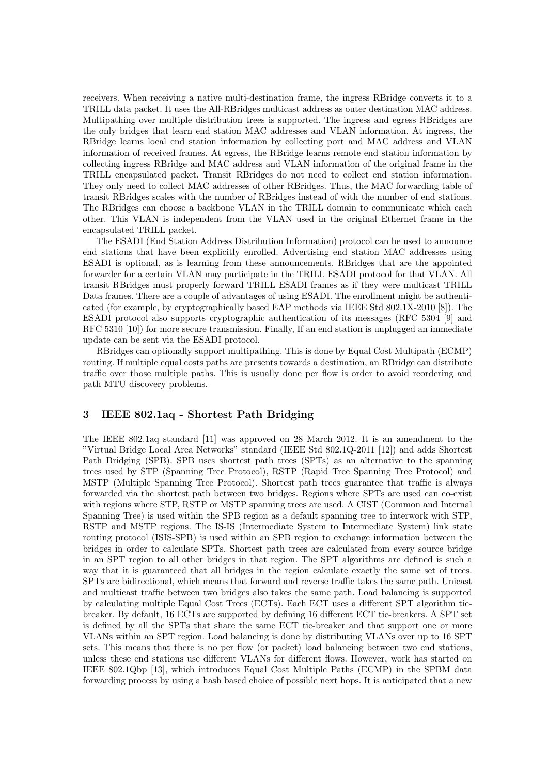receivers. When receiving a native multi-destination frame, the ingress RBridge converts it to a TRILL data packet. It uses the All-RBridges multicast address as outer destination MAC address. Multipathing over multiple distribution trees is supported. The ingress and egress RBridges are the only bridges that learn end station MAC addresses and VLAN information. At ingress, the RBridge learns local end station information by collecting port and MAC address and VLAN information of received frames. At egress, the RBridge learns remote end station information by collecting ingress RBridge and MAC address and VLAN information of the original frame in the TRILL encapsulated packet. Transit RBridges do not need to collect end station information. They only need to collect MAC addresses of other RBridges. Thus, the MAC forwarding table of transit RBridges scales with the number of RBridges instead of with the number of end stations. The RBridges can choose a backbone VLAN in the TRILL domain to communicate which each other. This VLAN is independent from the VLAN used in the original Ethernet frame in the encapsulated TRILL packet.

The ESADI (End Station Address Distribution Information) protocol can be used to announce end stations that have been explicitly enrolled. Advertising end station MAC addresses using ESADI is optional, as is learning from these announcements. RBridges that are the appointed forwarder for a certain VLAN may participate in the TRILL ESADI protocol for that VLAN. All transit RBridges must properly forward TRILL ESADI frames as if they were multicast TRILL Data frames. There are a couple of advantages of using ESADI. The enrollment might be authenticated (for example, by cryptographically based EAP methods via IEEE Std 802.1X-2010 [8]). The ESADI protocol also supports cryptographic authentication of its messages (RFC 5304 [9] and RFC 5310 [10]) for more secure transmission. Finally, If an end station is unplugged an immediate update can be sent via the ESADI protocol.

RBridges can optionally support multipathing. This is done by Equal Cost Multipath (ECMP) routing. If multiple equal costs paths are presents towards a destination, an RBridge can distribute traffic over those multiple paths. This is usually done per flow is order to avoid reordering and path MTU discovery problems.

#### 3 IEEE 802.1aq - Shortest Path Bridging

The IEEE 802.1aq standard [11] was approved on 28 March 2012. It is an amendment to the "Virtual Bridge Local Area Networks" standard (IEEE Std 802.1Q-2011 [12]) and adds Shortest Path Bridging (SPB). SPB uses shortest path trees (SPTs) as an alternative to the spanning trees used by STP (Spanning Tree Protocol), RSTP (Rapid Tree Spanning Tree Protocol) and MSTP (Multiple Spanning Tree Protocol). Shortest path trees guarantee that traffic is always forwarded via the shortest path between two bridges. Regions where SPTs are used can co-exist with regions where STP, RSTP or MSTP spanning trees are used. A CIST (Common and Internal Spanning Tree) is used within the SPB region as a default spanning tree to interwork with STP, RSTP and MSTP regions. The IS-IS (Intermediate System to Intermediate System) link state routing protocol (ISIS-SPB) is used within an SPB region to exchange information between the bridges in order to calculate SPTs. Shortest path trees are calculated from every source bridge in an SPT region to all other bridges in that region. The SPT algorithms are defined is such a way that it is guaranteed that all bridges in the region calculate exactly the same set of trees. SPTs are bidirectional, which means that forward and reverse traffic takes the same path. Unicast and multicast traffic between two bridges also takes the same path. Load balancing is supported by calculating multiple Equal Cost Trees (ECTs). Each ECT uses a different SPT algorithm tiebreaker. By default, 16 ECTs are supported by defining 16 different ECT tie-breakers. A SPT set is defined by all the SPTs that share the same ECT tie-breaker and that support one or more VLANs within an SPT region. Load balancing is done by distributing VLANs over up to 16 SPT sets. This means that there is no per flow (or packet) load balancing between two end stations, unless these end stations use different VLANs for different flows. However, work has started on IEEE 802.1Qbp [13], which introduces Equal Cost Multiple Paths (ECMP) in the SPBM data forwarding process by using a hash based choice of possible next hops. It is anticipated that a new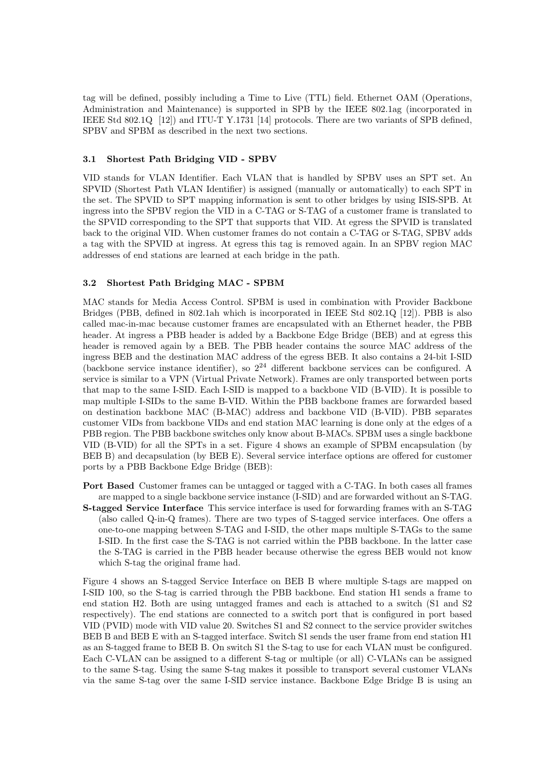tag will be defined, possibly including a Time to Live (TTL) field. Ethernet OAM (Operations, Administration and Maintenance) is supported in SPB by the IEEE 802.1ag (incorporated in IEEE Std 802.1Q [12]) and ITU-T Y.1731 [14] protocols. There are two variants of SPB defined, SPBV and SPBM as described in the next two sections.

### 3.1 Shortest Path Bridging VID - SPBV

VID stands for VLAN Identifier. Each VLAN that is handled by SPBV uses an SPT set. An SPVID (Shortest Path VLAN Identifier) is assigned (manually or automatically) to each SPT in the set. The SPVID to SPT mapping information is sent to other bridges by using ISIS-SPB. At ingress into the SPBV region the VID in a C-TAG or S-TAG of a customer frame is translated to the SPVID corresponding to the SPT that supports that VID. At egress the SPVID is translated back to the original VID. When customer frames do not contain a C-TAG or S-TAG, SPBV adds a tag with the SPVID at ingress. At egress this tag is removed again. In an SPBV region MAC addresses of end stations are learned at each bridge in the path.

### 3.2 Shortest Path Bridging MAC - SPBM

MAC stands for Media Access Control. SPBM is used in combination with Provider Backbone Bridges (PBB, defined in 802.1ah which is incorporated in IEEE Std 802.1Q [12]). PBB is also called mac-in-mac because customer frames are encapsulated with an Ethernet header, the PBB header. At ingress a PBB header is added by a Backbone Edge Bridge (BEB) and at egress this header is removed again by a BEB. The PBB header contains the source MAC address of the ingress BEB and the destination MAC address of the egress BEB. It also contains a 24-bit I-SID (backbone service instance identifier), so  $2^{24}$  different backbone services can be configured. A service is similar to a VPN (Virtual Private Network). Frames are only transported between ports that map to the same I-SID. Each I-SID is mapped to a backbone VID (B-VID). It is possible to map multiple I-SIDs to the same B-VID. Within the PBB backbone frames are forwarded based on destination backbone MAC (B-MAC) address and backbone VID (B-VID). PBB separates customer VIDs from backbone VIDs and end station MAC learning is done only at the edges of a PBB region. The PBB backbone switches only know about B-MACs. SPBM uses a single backbone VID (B-VID) for all the SPTs in a set. Figure 4 shows an example of SPBM encapsulation (by BEB B) and decapsulation (by BEB E). Several service interface options are offered for customer ports by a PBB Backbone Edge Bridge (BEB):

Port Based Customer frames can be untagged or tagged with a C-TAG. In both cases all frames are mapped to a single backbone service instance (I-SID) and are forwarded without an S-TAG. S-tagged Service Interface This service interface is used for forwarding frames with an S-TAG (also called Q-in-Q frames). There are two types of S-tagged service interfaces. One offers a one-to-one mapping between S-TAG and I-SID, the other maps multiple S-TAGs to the same I-SID. In the first case the S-TAG is not carried within the PBB backbone. In the latter case the S-TAG is carried in the PBB header because otherwise the egress BEB would not know which S-tag the original frame had.

Figure 4 shows an S-tagged Service Interface on BEB B where multiple S-tags are mapped on I-SID 100, so the S-tag is carried through the PBB backbone. End station H1 sends a frame to end station H2. Both are using untagged frames and each is attached to a switch (S1 and S2 respectively). The end stations are connected to a switch port that is configured in port based VID (PVID) mode with VID value 20. Switches S1 and S2 connect to the service provider switches BEB B and BEB E with an S-tagged interface. Switch S1 sends the user frame from end station H1 as an S-tagged frame to BEB B. On switch S1 the S-tag to use for each VLAN must be configured. Each C-VLAN can be assigned to a different S-tag or multiple (or all) C-VLANs can be assigned to the same S-tag. Using the same S-tag makes it possible to transport several customer VLANs via the same S-tag over the same I-SID service instance. Backbone Edge Bridge B is using an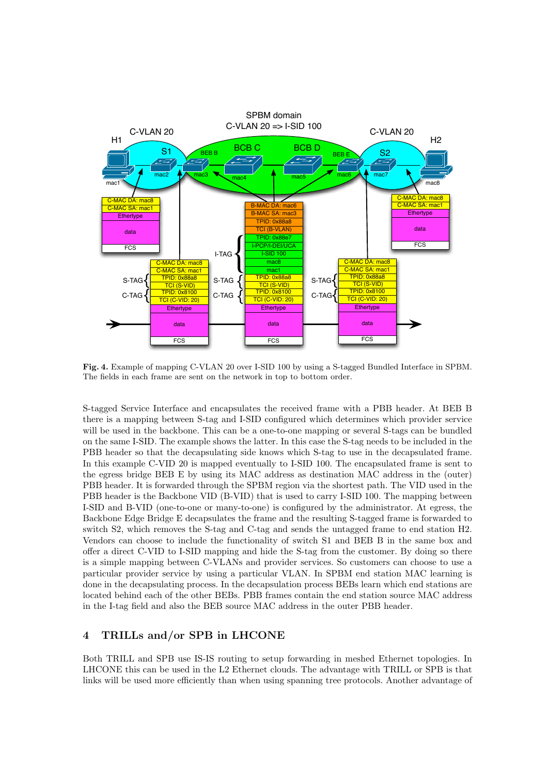

Fig. 4. Example of mapping C-VLAN 20 over I-SID 100 by using a S-tagged Bundled Interface in SPBM. The fields in each frame are sent on the network in top to bottom order.

S-tagged Service Interface and encapsulates the received frame with a PBB header. At BEB B there is a mapping between S-tag and I-SID configured which determines which provider service will be used in the backbone. This can be a one-to-one mapping or several S-tags can be bundled on the same I-SID. The example shows the latter. In this case the S-tag needs to be included in the PBB header so that the decapsulating side knows which S-tag to use in the decapsulated frame. In this example C-VID 20 is mapped eventually to I-SID 100. The encapsulated frame is sent to the egress bridge BEB E by using its MAC address as destination MAC address in the (outer) PBB header. It is forwarded through the SPBM region via the shortest path. The VID used in the PBB header is the Backbone VID (B-VID) that is used to carry I-SID 100. The mapping between I-SID and B-VID (one-to-one or many-to-one) is configured by the administrator. At egress, the Backbone Edge Bridge E decapsulates the frame and the resulting S-tagged frame is forwarded to switch S2, which removes the S-tag and C-tag and sends the untagged frame to end station H2. Vendors can choose to include the functionality of switch S1 and BEB B in the same box and offer a direct C-VID to I-SID mapping and hide the S-tag from the customer. By doing so there is a simple mapping between C-VLANs and provider services. So customers can choose to use a particular provider service by using a particular VLAN. In SPBM end station MAC learning is done in the decapsulating process. In the decapsulation process BEBs learn which end stations are located behind each of the other BEBs. PBB frames contain the end station source MAC address in the I-tag field and also the BEB source MAC address in the outer PBB header.

## 4 TRILLs and/or SPB in LHCONE

Both TRILL and SPB use IS-IS routing to setup forwarding in meshed Ethernet topologies. In LHCONE this can be used in the L2 Ethernet clouds. The advantage with TRILL or SPB is that links will be used more efficiently than when using spanning tree protocols. Another advantage of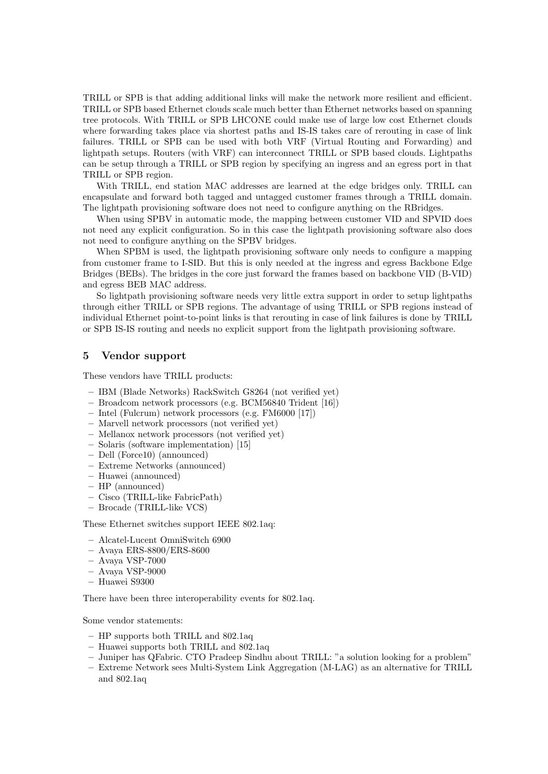TRILL or SPB is that adding additional links will make the network more resilient and efficient. TRILL or SPB based Ethernet clouds scale much better than Ethernet networks based on spanning tree protocols. With TRILL or SPB LHCONE could make use of large low cost Ethernet clouds where forwarding takes place via shortest paths and IS-IS takes care of rerouting in case of link failures. TRILL or SPB can be used with both VRF (Virtual Routing and Forwarding) and lightpath setups. Routers (with VRF) can interconnect TRILL or SPB based clouds. Lightpaths can be setup through a TRILL or SPB region by specifying an ingress and an egress port in that TRILL or SPB region.

With TRILL, end station MAC addresses are learned at the edge bridges only. TRILL can encapsulate and forward both tagged and untagged customer frames through a TRILL domain. The lightpath provisioning software does not need to configure anything on the RBridges.

When using SPBV in automatic mode, the mapping between customer VID and SPVID does not need any explicit configuration. So in this case the lightpath provisioning software also does not need to configure anything on the SPBV bridges.

When SPBM is used, the lightpath provisioning software only needs to configure a mapping from customer frame to I-SID. But this is only needed at the ingress and egress Backbone Edge Bridges (BEBs). The bridges in the core just forward the frames based on backbone VID (B-VID) and egress BEB MAC address.

So lightpath provisioning software needs very little extra support in order to setup lightpaths through either TRILL or SPB regions. The advantage of using TRILL or SPB regions instead of individual Ethernet point-to-point links is that rerouting in case of link failures is done by TRILL or SPB IS-IS routing and needs no explicit support from the lightpath provisioning software.

### 5 Vendor support

These vendors have TRILL products:

- IBM (Blade Networks) RackSwitch G8264 (not verified yet)
- Broadcom network processors (e.g. BCM56840 Trident [16])
- Intel (Fulcrum) network processors (e.g. FM6000 [17])
- Marvell network processors (not verified yet)
- Mellanox network processors (not verified yet)
- Solaris (software implementation) [15]
- Dell (Force10) (announced)
- Extreme Networks (announced)
- Huawei (announced)
- HP (announced)
- Cisco (TRILL-like FabricPath)
- Brocade (TRILL-like VCS)

These Ethernet switches support IEEE 802.1aq:

- Alcatel-Lucent OmniSwitch 6900
- Avaya ERS-8800/ERS-8600
- Avaya VSP-7000
- Avaya VSP-9000
- Huawei S9300

There have been three interoperability events for 802.1aq.

Some vendor statements:

- HP supports both TRILL and 802.1aq
- Huawei supports both TRILL and 802.1aq
- Juniper has QFabric. CTO Pradeep Sindhu about TRILL: "a solution looking for a problem"
- Extreme Network sees Multi-System Link Aggregation (M-LAG) as an alternative for TRILL and 802.1aq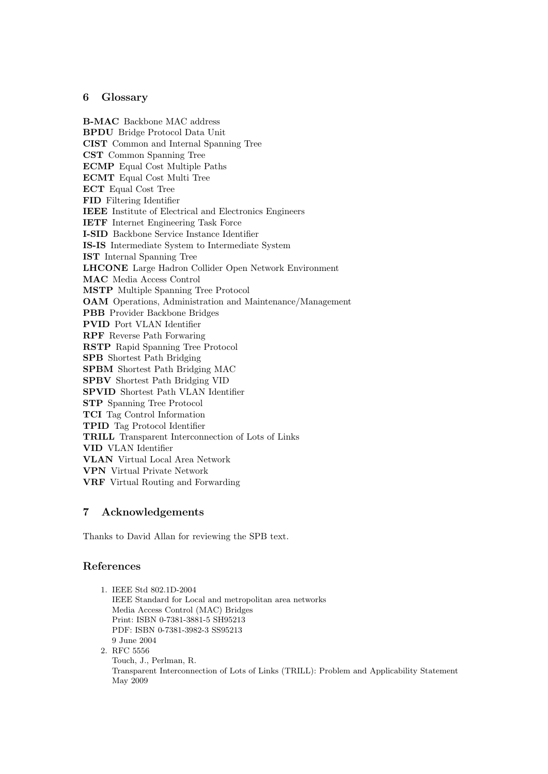# 6 Glossary

B-MAC Backbone MAC address BPDU Bridge Protocol Data Unit CIST Common and Internal Spanning Tree CST Common Spanning Tree ECMP Equal Cost Multiple Paths ECMT Equal Cost Multi Tree ECT Equal Cost Tree FID Filtering Identifier IEEE Institute of Electrical and Electronics Engineers IETF Internet Engineering Task Force I-SID Backbone Service Instance Identifier IS-IS Intermediate System to Intermediate System IST Internal Spanning Tree LHCONE Large Hadron Collider Open Network Environment MAC Media Access Control MSTP Multiple Spanning Tree Protocol OAM Operations, Administration and Maintenance/Management PBB Provider Backbone Bridges PVID Port VLAN Identifier RPF Reverse Path Forwaring RSTP Rapid Spanning Tree Protocol SPB Shortest Path Bridging SPBM Shortest Path Bridging MAC SPBV Shortest Path Bridging VID SPVID Shortest Path VLAN Identifier STP Spanning Tree Protocol TCI Tag Control Information TPID Tag Protocol Identifier TRILL Transparent Interconnection of Lots of Links VID VLAN Identifier VLAN Virtual Local Area Network VPN Virtual Private Network VRF Virtual Routing and Forwarding

## 7 Acknowledgements

Thanks to David Allan for reviewing the SPB text.

### References

| 1. IEEE Std 802.1D-2004                                                                   |
|-------------------------------------------------------------------------------------------|
| IEEE Standard for Local and metropolitan area networks                                    |
| Media Access Control (MAC) Bridges                                                        |
| Print: ISBN 0-7381-3881-5 SH95213                                                         |
| PDF: ISBN 0-7381-3982-3 SS95213                                                           |
| 9 June 2004                                                                               |
| 2. RFC 5556                                                                               |
| Touch, J., Perlman, R.                                                                    |
| Transparent Interconnection of Lots of Links (TRILL): Problem and Applicability Statement |
| May 2009                                                                                  |